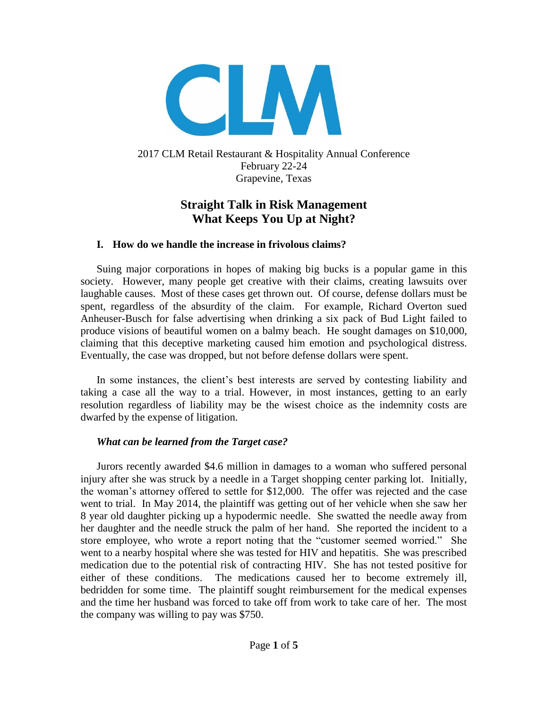

2017 CLM Retail Restaurant & Hospitality Annual Conference February 22-24 Grapevine, Texas

# **Straight Talk in Risk Management What Keeps You Up at Night?**

#### **I. How do we handle the increase in frivolous claims?**

Suing major corporations in hopes of making big bucks is a popular game in this society. However, many people get creative with their claims, creating lawsuits over laughable causes. Most of these cases get thrown out. Of course, defense dollars must be spent, regardless of the absurdity of the claim. For example, Richard Overton sued Anheuser-Busch for false advertising when drinking a six pack of Bud Light failed to produce visions of beautiful women on a balmy beach. He sought damages on \$10,000, claiming that this deceptive marketing caused him emotion and psychological distress. Eventually, the case was dropped, but not before defense dollars were spent.

In some instances, the client's best interests are served by contesting liability and taking a case all the way to a trial. However, in most instances, getting to an early resolution regardless of liability may be the wisest choice as the indemnity costs are dwarfed by the expense of litigation.

#### *What can be learned from the Target case?*

Jurors recently awarded \$4.6 million in damages to a woman who suffered personal injury after she was struck by a needle in a Target shopping center parking lot. Initially, the woman's attorney offered to settle for \$12,000. The offer was rejected and the case went to trial. In May 2014, the plaintiff was getting out of her vehicle when she saw her 8 year old daughter picking up a hypodermic needle. She swatted the needle away from her daughter and the needle struck the palm of her hand. She reported the incident to a store employee, who wrote a report noting that the "customer seemed worried." She went to a nearby hospital where she was tested for HIV and hepatitis. She was prescribed medication due to the potential risk of contracting HIV. She has not tested positive for either of these conditions. The medications caused her to become extremely ill, bedridden for some time. The plaintiff sought reimbursement for the medical expenses and the time her husband was forced to take off from work to take care of her. The most the company was willing to pay was \$750.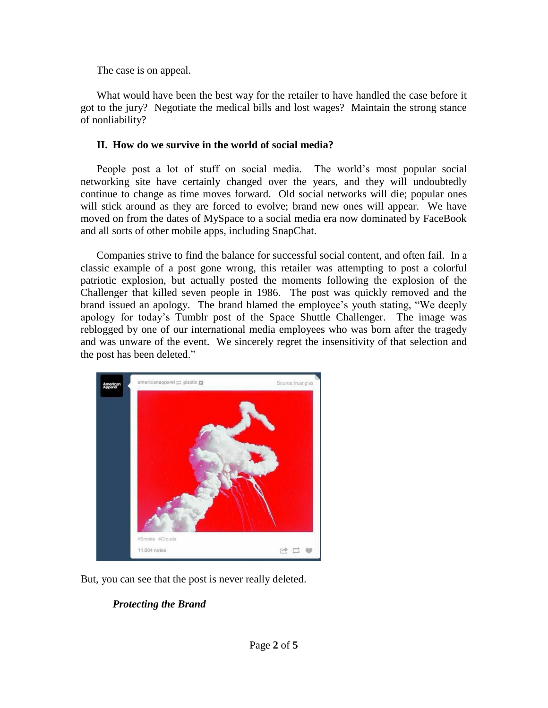The case is on appeal.

What would have been the best way for the retailer to have handled the case before it got to the jury? Negotiate the medical bills and lost wages? Maintain the strong stance of nonliability?

### **II. How do we survive in the world of social media?**

People post a lot of stuff on social media. The world's most popular social networking site have certainly changed over the years, and they will undoubtedly continue to change as time moves forward. Old social networks will die; popular ones will stick around as they are forced to evolve; brand new ones will appear. We have moved on from the dates of MySpace to a social media era now dominated by FaceBook and all sorts of other mobile apps, including SnapChat.

Companies strive to find the balance for successful social content, and often fail. In a classic example of a post gone wrong, this retailer was attempting to post a colorful patriotic explosion, but actually posted the moments following the explosion of the Challenger that killed seven people in 1986. The post was quickly removed and the brand issued an apology. The brand blamed the employee's youth stating, "We deeply apology for today's Tumblr post of the Space Shuttle Challenger. The image was reblogged by one of our international media employees who was born after the tragedy and was unware of the event. We sincerely regret the insensitivity of that selection and the post has been deleted."



But, you can see that the post is never really deleted.

# *Protecting the Brand*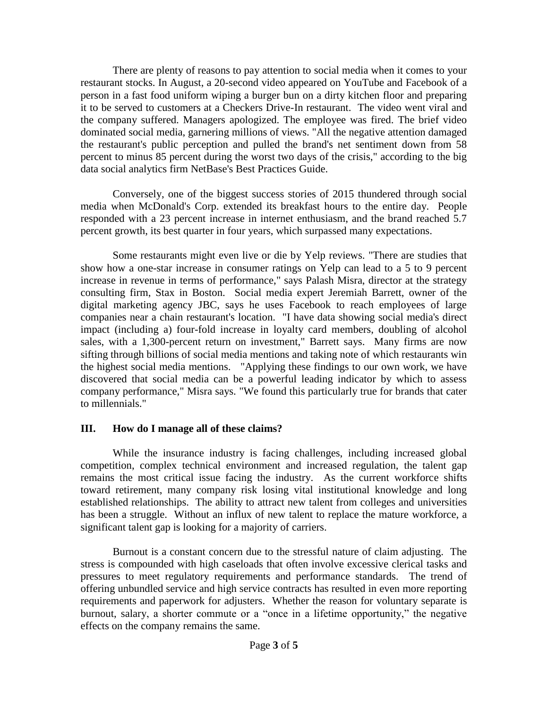There are plenty of reasons to pay attention to social media when it comes to your restaurant stocks. In August, a 20-second video appeared on YouTube and Facebook of a person in a fast food uniform wiping a burger bun on a dirty kitchen floor and preparing it to be served to customers at a Checkers Drive-In restaurant. The video went viral and the company suffered. Managers apologized. The employee was fired. The brief video dominated social media, garnering millions of views. "All the negative attention damaged the restaurant's public perception and pulled the brand's net sentiment down from 58 percent to minus 85 percent during the worst two days of the crisis," according to the big data social analytics firm NetBase's Best Practices Guide.

Conversely, one of the biggest success stories of 2015 thundered through social media when McDonald's Corp. extended its breakfast hours to the entire day. People responded with a 23 percent increase in internet enthusiasm, and the brand reached 5.7 percent growth, its best quarter in four years, which surpassed many expectations.

Some restaurants might even live or die by Yelp reviews. "There are studies that show how a one-star increase in consumer ratings on Yelp can lead to a 5 to 9 percent increase in revenue in terms of performance," says Palash Misra, director at the strategy consulting firm, Stax in Boston. Social media expert Jeremiah Barrett, owner of the digital marketing agency JBC, says he uses Facebook to reach employees of large companies near a chain restaurant's location. "I have data showing social media's direct impact (including a) four-fold increase in loyalty card members, doubling of alcohol sales, with a 1,300-percent return on investment," Barrett says. Many firms are now sifting through billions of social media mentions and taking note of which restaurants win the highest social media mentions. "Applying these findings to our own work, we have discovered that social media can be a powerful leading indicator by which to assess company performance," Misra says. "We found this particularly true for brands that cater to millennials."

### **III. How do I manage all of these claims?**

While the insurance industry is facing challenges, including increased global competition, complex technical environment and increased regulation, the talent gap remains the most critical issue facing the industry. As the current workforce shifts toward retirement, many company risk losing vital institutional knowledge and long established relationships. The ability to attract new talent from colleges and universities has been a struggle. Without an influx of new talent to replace the mature workforce, a significant talent gap is looking for a majority of carriers.

Burnout is a constant concern due to the stressful nature of claim adjusting. The stress is compounded with high caseloads that often involve excessive clerical tasks and pressures to meet regulatory requirements and performance standards. The trend of offering unbundled service and high service contracts has resulted in even more reporting requirements and paperwork for adjusters. Whether the reason for voluntary separate is burnout, salary, a shorter commute or a "once in a lifetime opportunity," the negative effects on the company remains the same.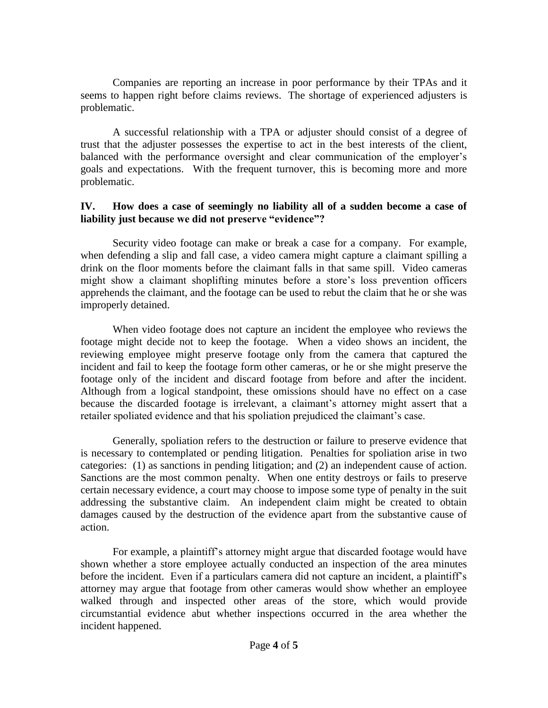Companies are reporting an increase in poor performance by their TPAs and it seems to happen right before claims reviews. The shortage of experienced adjusters is problematic.

A successful relationship with a TPA or adjuster should consist of a degree of trust that the adjuster possesses the expertise to act in the best interests of the client, balanced with the performance oversight and clear communication of the employer's goals and expectations. With the frequent turnover, this is becoming more and more problematic.

### **IV. How does a case of seemingly no liability all of a sudden become a case of liability just because we did not preserve "evidence"?**

Security video footage can make or break a case for a company. For example, when defending a slip and fall case, a video camera might capture a claimant spilling a drink on the floor moments before the claimant falls in that same spill. Video cameras might show a claimant shoplifting minutes before a store's loss prevention officers apprehends the claimant, and the footage can be used to rebut the claim that he or she was improperly detained.

When video footage does not capture an incident the employee who reviews the footage might decide not to keep the footage. When a video shows an incident, the reviewing employee might preserve footage only from the camera that captured the incident and fail to keep the footage form other cameras, or he or she might preserve the footage only of the incident and discard footage from before and after the incident. Although from a logical standpoint, these omissions should have no effect on a case because the discarded footage is irrelevant, a claimant's attorney might assert that a retailer spoliated evidence and that his spoliation prejudiced the claimant's case.

Generally, spoliation refers to the destruction or failure to preserve evidence that is necessary to contemplated or pending litigation. Penalties for spoliation arise in two categories: (1) as sanctions in pending litigation; and (2) an independent cause of action. Sanctions are the most common penalty. When one entity destroys or fails to preserve certain necessary evidence, a court may choose to impose some type of penalty in the suit addressing the substantive claim. An independent claim might be created to obtain damages caused by the destruction of the evidence apart from the substantive cause of action.

For example, a plaintiff's attorney might argue that discarded footage would have shown whether a store employee actually conducted an inspection of the area minutes before the incident. Even if a particulars camera did not capture an incident, a plaintiff's attorney may argue that footage from other cameras would show whether an employee walked through and inspected other areas of the store, which would provide circumstantial evidence abut whether inspections occurred in the area whether the incident happened.